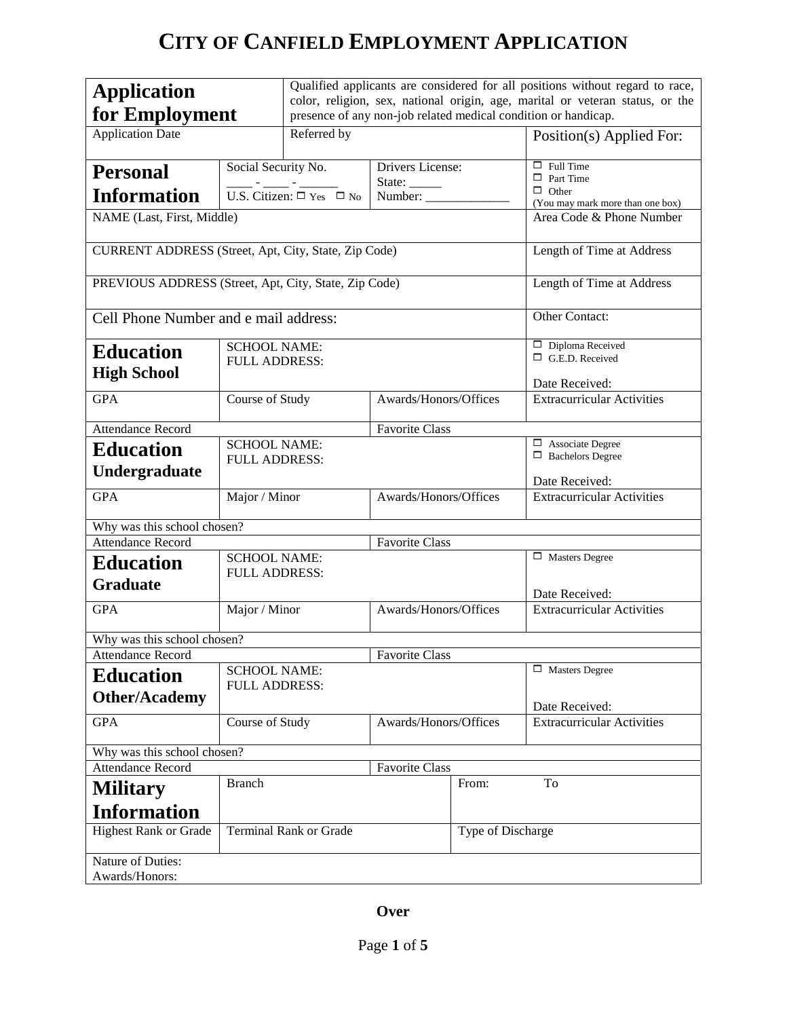# **CITY OF CANFIELD EMPLOYMENT APPLICATION**

| <b>Application</b>                                    |                                                         | Qualified applicants are considered for all positions without regard to race,                                                                   |                                   |                                                     |  |
|-------------------------------------------------------|---------------------------------------------------------|-------------------------------------------------------------------------------------------------------------------------------------------------|-----------------------------------|-----------------------------------------------------|--|
| for Employment                                        |                                                         | color, religion, sex, national origin, age, marital or veteran status, or the<br>presence of any non-job related medical condition or handicap. |                                   |                                                     |  |
|                                                       |                                                         |                                                                                                                                                 |                                   |                                                     |  |
| <b>Application Date</b>                               | Referred by                                             |                                                                                                                                                 |                                   | Position(s) Applied For:                            |  |
| <b>Personal</b>                                       | Social Security No.                                     | Drivers License:                                                                                                                                |                                   | $\Box$ Full Time                                    |  |
|                                                       | $\frac{1}{\text{U.S. Citizen:}} - \frac{1}{\text{Yes}}$ | State: $\_\_$                                                                                                                                   |                                   | $\Box$ Part Time<br>$\Box$ Other                    |  |
| <b>Information</b>                                    |                                                         | Number:                                                                                                                                         |                                   | (You may mark more than one box)                    |  |
| NAME (Last, First, Middle)                            |                                                         |                                                                                                                                                 |                                   | Area Code & Phone Number                            |  |
| CURRENT ADDRESS (Street, Apt, City, State, Zip Code)  |                                                         |                                                                                                                                                 | Length of Time at Address         |                                                     |  |
| PREVIOUS ADDRESS (Street, Apt, City, State, Zip Code) |                                                         |                                                                                                                                                 | Length of Time at Address         |                                                     |  |
| Cell Phone Number and e mail address:                 |                                                         |                                                                                                                                                 |                                   | Other Contact:                                      |  |
|                                                       | <b>SCHOOL NAME:</b>                                     |                                                                                                                                                 |                                   | $\Box$ Diploma Received                             |  |
| <b>Education</b>                                      | <b>FULL ADDRESS:</b>                                    |                                                                                                                                                 |                                   | $\Box$ G.E.D. Received                              |  |
| <b>High School</b>                                    |                                                         |                                                                                                                                                 |                                   |                                                     |  |
| <b>GPA</b>                                            | Course of Study                                         | Awards/Honors/Offices                                                                                                                           |                                   | Date Received:<br><b>Extracurricular Activities</b> |  |
|                                                       |                                                         |                                                                                                                                                 |                                   |                                                     |  |
| <b>Attendance Record</b>                              | <b>Favorite Class</b>                                   |                                                                                                                                                 |                                   |                                                     |  |
| <b>Education</b>                                      | <b>SCHOOL NAME:</b>                                     |                                                                                                                                                 |                                   | $\Box$ Associate Degree                             |  |
| Undergraduate                                         | $\Box$ Bachelors Degree<br><b>FULL ADDRESS:</b>         |                                                                                                                                                 |                                   |                                                     |  |
|                                                       |                                                         |                                                                                                                                                 |                                   | Date Received:                                      |  |
| <b>GPA</b>                                            | Major / Minor<br>Awards/Honors/Offices                  |                                                                                                                                                 |                                   | <b>Extracurricular Activities</b>                   |  |
| Why was this school chosen?                           |                                                         |                                                                                                                                                 |                                   |                                                     |  |
| <b>Attendance Record</b>                              | <b>Favorite Class</b>                                   |                                                                                                                                                 |                                   |                                                     |  |
| <b>Education</b>                                      | <b>SCHOOL NAME:</b>                                     |                                                                                                                                                 |                                   | $\Box$ Masters Degree                               |  |
| <b>Graduate</b>                                       | <b>FULL ADDRESS:</b>                                    |                                                                                                                                                 |                                   |                                                     |  |
|                                                       |                                                         |                                                                                                                                                 | Date Received:                    |                                                     |  |
| <b>GPA</b>                                            | Awards/Honors/Offices<br>Major / Minor                  |                                                                                                                                                 | <b>Extracurricular Activities</b> |                                                     |  |
| Why was this school chosen?                           |                                                         |                                                                                                                                                 |                                   |                                                     |  |
| <b>Attendance Record</b>                              | <b>Favorite Class</b>                                   |                                                                                                                                                 |                                   |                                                     |  |
| <b>Education</b>                                      | <b>SCHOOL NAME:</b><br><b>FULL ADDRESS:</b>             |                                                                                                                                                 | $\Box$ Masters Degree             |                                                     |  |
| <b>Other/Academy</b>                                  |                                                         |                                                                                                                                                 |                                   | Date Received:                                      |  |
| <b>GPA</b>                                            | Course of Study                                         | Awards/Honors/Offices                                                                                                                           |                                   | <b>Extracurricular Activities</b>                   |  |
| Why was this school chosen?                           |                                                         |                                                                                                                                                 |                                   |                                                     |  |
| <b>Attendance Record</b><br><b>Favorite Class</b>     |                                                         |                                                                                                                                                 |                                   |                                                     |  |
| <b>Military</b>                                       | <b>Branch</b><br>From:                                  |                                                                                                                                                 |                                   | To                                                  |  |
| <b>Information</b>                                    |                                                         |                                                                                                                                                 |                                   |                                                     |  |
| <b>Highest Rank or Grade</b>                          | <b>Terminal Rank or Grade</b>                           |                                                                                                                                                 | Type of Discharge                 |                                                     |  |
| Nature of Duties:<br>Awards/Honors:                   |                                                         |                                                                                                                                                 |                                   |                                                     |  |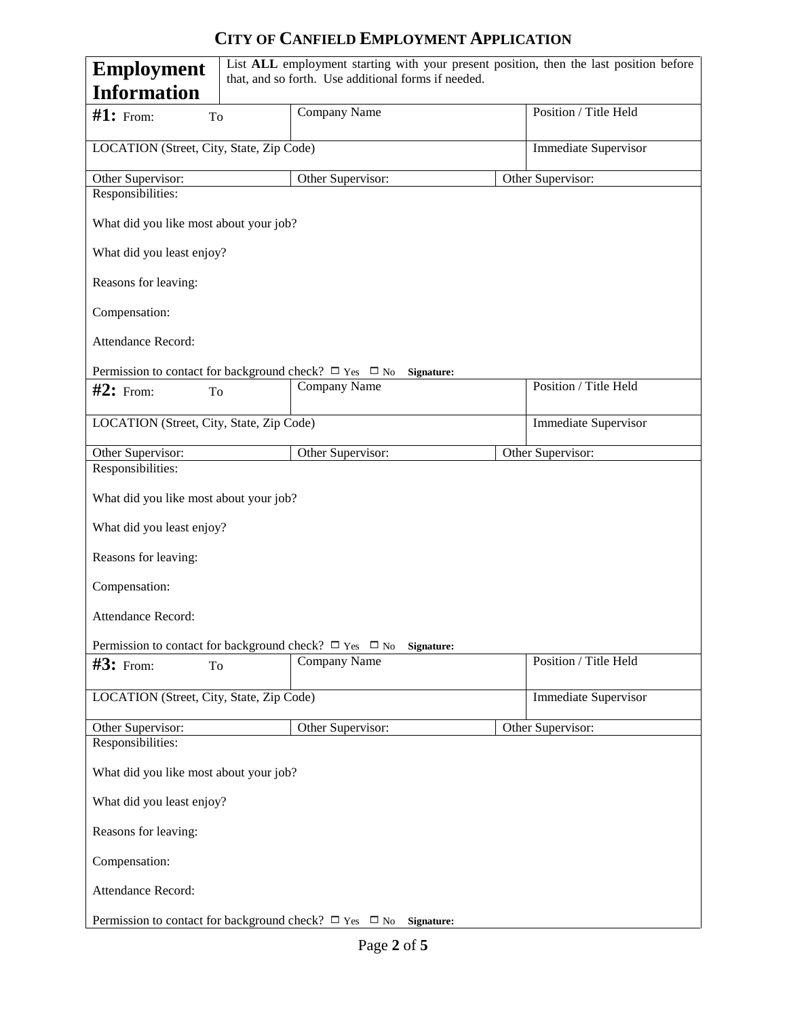## **CITY OF CANFIELD EMPLOYMENT APPLICATION**

| List ALL employment starting with your present position, then the last position before<br><b>Employment</b><br>that, and so forth. Use additional forms if needed. |  |                                                                             |  |                             |
|--------------------------------------------------------------------------------------------------------------------------------------------------------------------|--|-----------------------------------------------------------------------------|--|-----------------------------|
| <b>Information</b>                                                                                                                                                 |  |                                                                             |  |                             |
| $#1:$ From:<br>To                                                                                                                                                  |  | Company Name                                                                |  | Position / Title Held       |
| LOCATION (Street, City, State, Zip Code)                                                                                                                           |  |                                                                             |  | <b>Immediate Supervisor</b> |
| Other Supervisor:                                                                                                                                                  |  | Other Supervisor:                                                           |  | Other Supervisor:           |
| Responsibilities:                                                                                                                                                  |  |                                                                             |  |                             |
| What did you like most about your job?                                                                                                                             |  |                                                                             |  |                             |
| What did you least enjoy?                                                                                                                                          |  |                                                                             |  |                             |
| Reasons for leaving:                                                                                                                                               |  |                                                                             |  |                             |
| Compensation:                                                                                                                                                      |  |                                                                             |  |                             |
| Attendance Record:                                                                                                                                                 |  |                                                                             |  |                             |
|                                                                                                                                                                    |  | Permission to contact for background check? $\Box$ Yes $\Box$ No Signature: |  |                             |
| $#2:$ From:<br>To                                                                                                                                                  |  | Company Name                                                                |  | Position / Title Held       |
| LOCATION (Street, City, State, Zip Code)                                                                                                                           |  |                                                                             |  | Immediate Supervisor        |
| Other Supervisor:                                                                                                                                                  |  | Other Supervisor:                                                           |  | Other Supervisor:           |
| Responsibilities:                                                                                                                                                  |  |                                                                             |  |                             |
| What did you like most about your job?                                                                                                                             |  |                                                                             |  |                             |
| What did you least enjoy?                                                                                                                                          |  |                                                                             |  |                             |
| Reasons for leaving:                                                                                                                                               |  |                                                                             |  |                             |
| Compensation:                                                                                                                                                      |  |                                                                             |  |                             |
| Attendance Record:                                                                                                                                                 |  |                                                                             |  |                             |
|                                                                                                                                                                    |  | Permission to contact for background check? $\Box$ Yes $\Box$ No Signature: |  |                             |
| $#3:$ From:<br>To                                                                                                                                                  |  | Company Name                                                                |  | Position / Title Held       |
| LOCATION (Street, City, State, Zip Code)                                                                                                                           |  |                                                                             |  | <b>Immediate Supervisor</b> |
| Other Supervisor:                                                                                                                                                  |  | Other Supervisor:                                                           |  | Other Supervisor:           |
| Responsibilities:                                                                                                                                                  |  |                                                                             |  |                             |
| What did you like most about your job?                                                                                                                             |  |                                                                             |  |                             |
| What did you least enjoy?                                                                                                                                          |  |                                                                             |  |                             |
| Reasons for leaving:                                                                                                                                               |  |                                                                             |  |                             |
| Compensation:                                                                                                                                                      |  |                                                                             |  |                             |
| Attendance Record:                                                                                                                                                 |  |                                                                             |  |                             |
| Permission to contact for background check? $\Box$ Yes $\Box$ No Signature:                                                                                        |  |                                                                             |  |                             |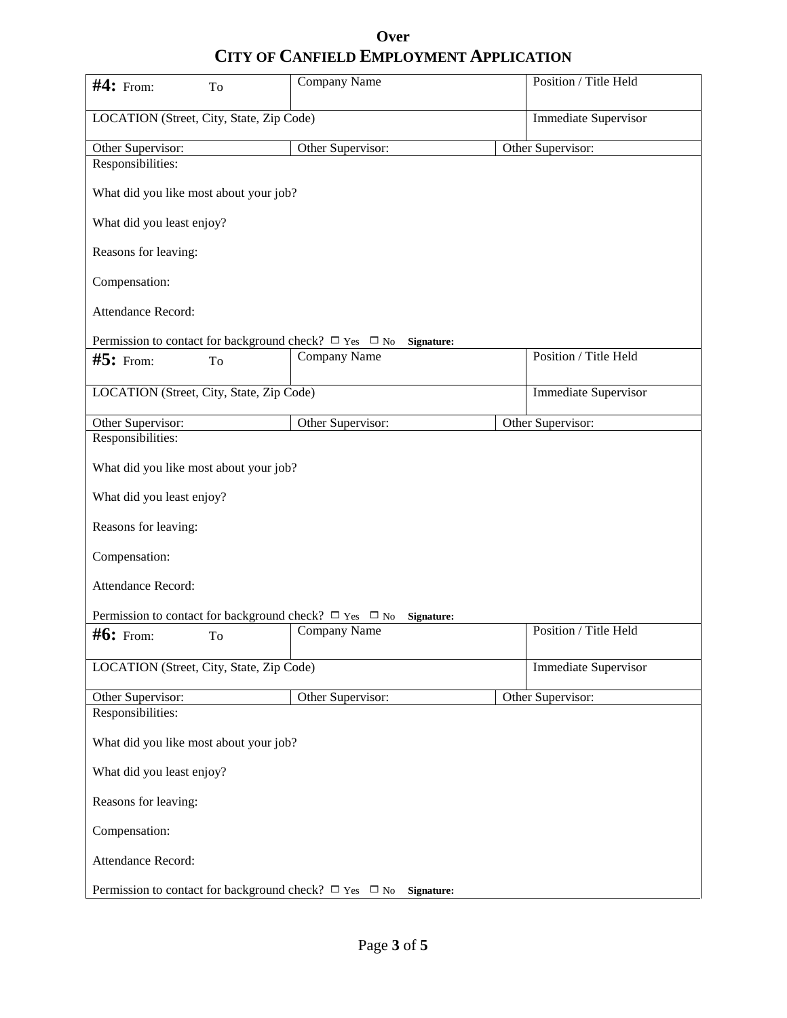### **Over CITY OF CANFIELD EMPLOYMENT APPLICATION**

| $#4:$ From:<br>To                                                              | Company Name      | Position / Title Held       |  |
|--------------------------------------------------------------------------------|-------------------|-----------------------------|--|
| LOCATION (Street, City, State, Zip Code)                                       |                   | <b>Immediate Supervisor</b> |  |
| Other Supervisor:                                                              | Other Supervisor: | Other Supervisor:           |  |
| Responsibilities:                                                              |                   |                             |  |
| What did you like most about your job?                                         |                   |                             |  |
| What did you least enjoy?                                                      |                   |                             |  |
| Reasons for leaving:                                                           |                   |                             |  |
| Compensation:                                                                  |                   |                             |  |
| Attendance Record:                                                             |                   |                             |  |
| Permission to contact for background check? $\Box$ Yes $\Box$ No Signature:    |                   |                             |  |
| $#5:$ From:<br>To                                                              | Company Name      | Position / Title Held       |  |
| LOCATION (Street, City, State, Zip Code)                                       |                   | <b>Immediate Supervisor</b> |  |
| Other Supervisor:                                                              | Other Supervisor: | Other Supervisor:           |  |
| Responsibilities:                                                              |                   |                             |  |
| What did you like most about your job?<br>What did you least enjoy?            |                   |                             |  |
| Reasons for leaving:                                                           |                   |                             |  |
| Compensation:                                                                  |                   |                             |  |
| <b>Attendance Record:</b>                                                      |                   |                             |  |
| Permission to contact for background check? $\Box$ Yes $\Box$ No<br>Signature: |                   |                             |  |
| $#6:$ From:<br>To                                                              | Company Name      | Position / Title Held       |  |
| LOCATION (Street, City, State, Zip Code)                                       |                   | <b>Immediate Supervisor</b> |  |
| Other Supervisor:                                                              | Other Supervisor: | Other Supervisor:           |  |
| Responsibilities:                                                              |                   |                             |  |
| What did you like most about your job?                                         |                   |                             |  |
| What did you least enjoy?                                                      |                   |                             |  |
| Reasons for leaving:                                                           |                   |                             |  |
| Compensation:                                                                  |                   |                             |  |
| Attendance Record:                                                             |                   |                             |  |
| Permission to contact for background check? $\Box$ Yes $\Box$ No Signature:    |                   |                             |  |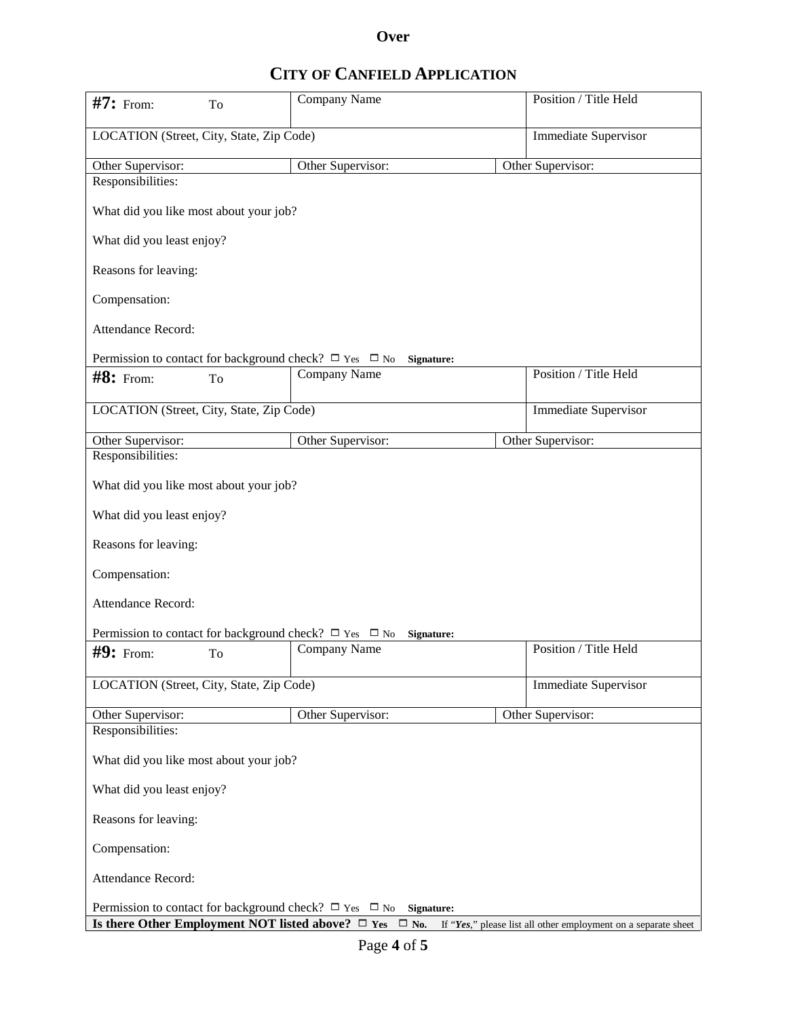#### **Over**

## **CITY OF CANFIELD APPLICATION**

| $#7:$ From:                                                                                                                                                                                                                                   | To | Company Name                                                                | Position / Title Held       |  |  |
|-----------------------------------------------------------------------------------------------------------------------------------------------------------------------------------------------------------------------------------------------|----|-----------------------------------------------------------------------------|-----------------------------|--|--|
| LOCATION (Street, City, State, Zip Code)                                                                                                                                                                                                      |    | <b>Immediate Supervisor</b>                                                 |                             |  |  |
| Other Supervisor:                                                                                                                                                                                                                             |    | Other Supervisor:                                                           | Other Supervisor:           |  |  |
| Responsibilities:                                                                                                                                                                                                                             |    |                                                                             |                             |  |  |
| What did you like most about your job?                                                                                                                                                                                                        |    |                                                                             |                             |  |  |
| What did you least enjoy?                                                                                                                                                                                                                     |    |                                                                             |                             |  |  |
| Reasons for leaving:                                                                                                                                                                                                                          |    |                                                                             |                             |  |  |
| Compensation:                                                                                                                                                                                                                                 |    |                                                                             |                             |  |  |
| Attendance Record:                                                                                                                                                                                                                            |    |                                                                             |                             |  |  |
|                                                                                                                                                                                                                                               |    | Permission to contact for background check? $\Box$ Yes $\Box$ No Signature: |                             |  |  |
| $\#8$ : From:                                                                                                                                                                                                                                 | To | Company Name                                                                | Position / Title Held       |  |  |
| LOCATION (Street, City, State, Zip Code)                                                                                                                                                                                                      |    |                                                                             | <b>Immediate Supervisor</b> |  |  |
| Other Supervisor:                                                                                                                                                                                                                             |    | Other Supervisor:                                                           | Other Supervisor:           |  |  |
| Responsibilities:                                                                                                                                                                                                                             |    |                                                                             |                             |  |  |
| What did you like most about your job?                                                                                                                                                                                                        |    |                                                                             |                             |  |  |
| What did you least enjoy?                                                                                                                                                                                                                     |    |                                                                             |                             |  |  |
| Reasons for leaving:                                                                                                                                                                                                                          |    |                                                                             |                             |  |  |
| Compensation:                                                                                                                                                                                                                                 |    |                                                                             |                             |  |  |
| Attendance Record:                                                                                                                                                                                                                            |    |                                                                             |                             |  |  |
| Permission to contact for background check? $\Box$ Yes $\Box$ No<br>Signature:                                                                                                                                                                |    |                                                                             |                             |  |  |
| $#9:$ From:                                                                                                                                                                                                                                   | To | Company Name                                                                | Position / Title Held       |  |  |
| LOCATION (Street, City, State, Zip Code)                                                                                                                                                                                                      |    |                                                                             | <b>Immediate Supervisor</b> |  |  |
| Other Supervisor:                                                                                                                                                                                                                             |    | Other Supervisor:                                                           | Other Supervisor:           |  |  |
| Responsibilities:                                                                                                                                                                                                                             |    |                                                                             |                             |  |  |
| What did you like most about your job?                                                                                                                                                                                                        |    |                                                                             |                             |  |  |
| What did you least enjoy?                                                                                                                                                                                                                     |    |                                                                             |                             |  |  |
| Reasons for leaving:                                                                                                                                                                                                                          |    |                                                                             |                             |  |  |
| Compensation:                                                                                                                                                                                                                                 |    |                                                                             |                             |  |  |
| Attendance Record:                                                                                                                                                                                                                            |    |                                                                             |                             |  |  |
| Permission to contact for background check? $\Box$ Yes $\Box$ No Signature:<br><b>Is there Other Employment NOT listed above?</b> $\Box$ <b>Yes</b> $\Box$ <b>No.</b> If " <i>Yes</i> ," please list all other employment on a separate sheet |    |                                                                             |                             |  |  |